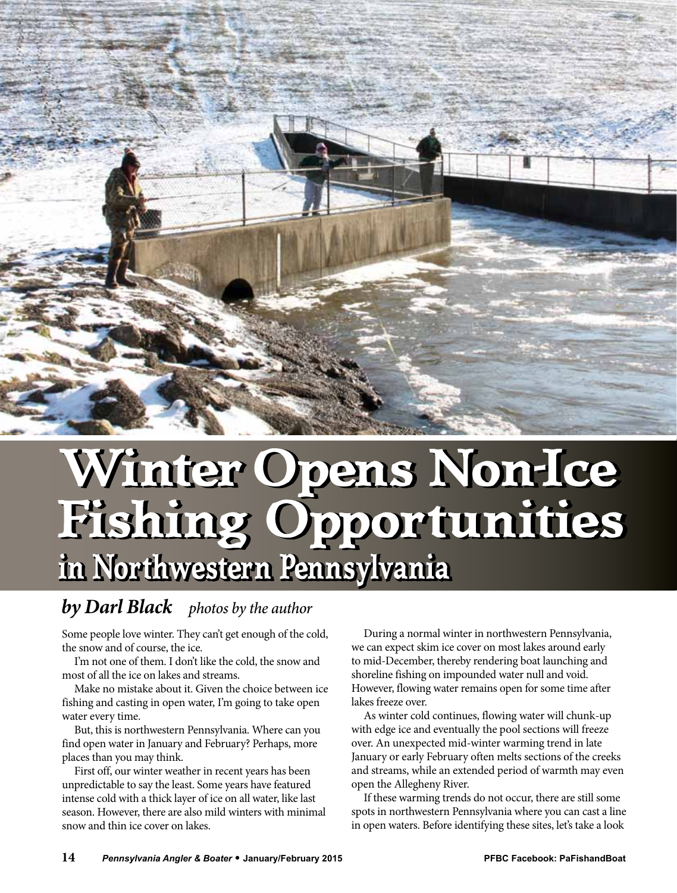

## Winter Opens Non-Ice<br>Fishing Opportunities **in Northwestern Pennsylvania in Northwestern Pennsylvania**

## *by Darl Black photos by the author*

Some people love winter. They can't get enough of the cold, the snow and of course, the ice.

I'm not one of them. I don't like the cold, the snow and most of all the ice on lakes and streams.

Make no mistake about it. Given the choice between ice fishing and casting in open water, I'm going to take open water every time.

But, this is northwestern Pennsylvania. Where can you find open water in January and February? Perhaps, more places than you may think.

First off, our winter weather in recent years has been unpredictable to say the least. Some years have featured intense cold with a thick layer of ice on all water, like last season. However, there are also mild winters with minimal snow and thin ice cover on lakes.

During a normal winter in northwestern Pennsylvania, we can expect skim ice cover on most lakes around early to mid-December, thereby rendering boat launching and shoreline fishing on impounded water null and void. However, flowing water remains open for some time after lakes freeze over.

As winter cold continues, flowing water will chunk-up with edge ice and eventually the pool sections will freeze over. An unexpected mid-winter warming trend in late January or early February often melts sections of the creeks and streams, while an extended period of warmth may even open the Allegheny River.

If these warming trends do not occur, there are still some spots in northwestern Pennsylvania where you can cast a line in open waters. Before identifying these sites, let's take a look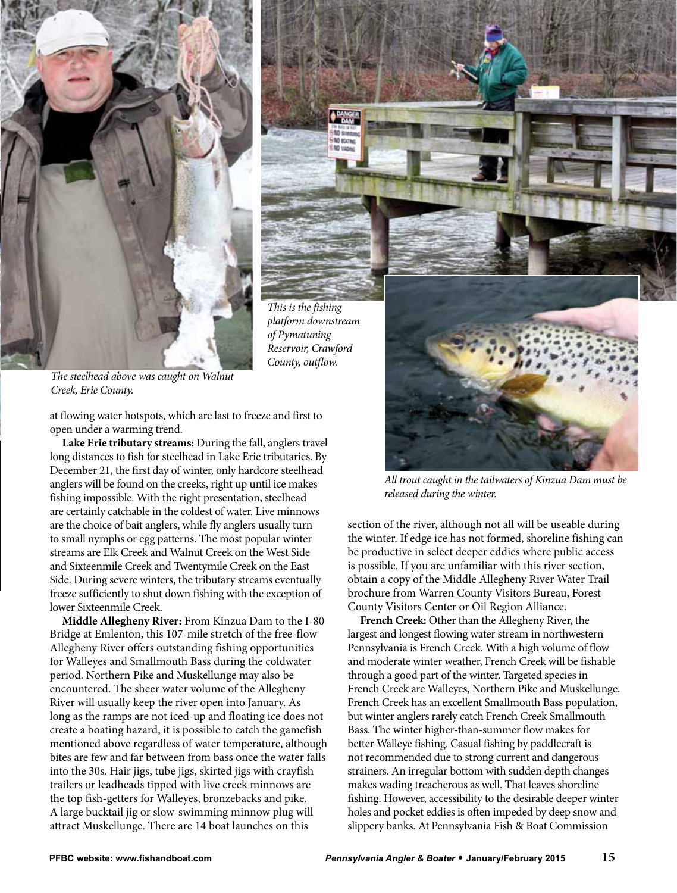



*The steelhead above was caught on Walnut Creek, Erie County.*

at flowing water hotspots, which are last to freeze and first to open under a warming trend.

**Lake Erie tributary streams:** During the fall, anglers travel long distances to fish for steelhead in Lake Erie tributaries. By December 21, the first day of winter, only hardcore steelhead anglers will be found on the creeks, right up until ice makes fishing impossible. With the right presentation, steelhead are certainly catchable in the coldest of water. Live minnows are the choice of bait anglers, while fly anglers usually turn to small nymphs or egg patterns. The most popular winter streams are Elk Creek and Walnut Creek on the West Side and Sixteenmile Creek and Twentymile Creek on the East Side. During severe winters, the tributary streams eventually freeze sufficiently to shut down fishing with the exception of lower Sixteenmile Creek.

**Middle Allegheny River:** From Kinzua Dam to the I-80 Bridge at Emlenton, this 107-mile stretch of the free-flow Allegheny River offers outstanding fishing opportunities for Walleyes and Smallmouth Bass during the coldwater period. Northern Pike and Muskellunge may also be encountered. The sheer water volume of the Allegheny River will usually keep the river open into January. As long as the ramps are not iced-up and floating ice does not create a boating hazard, it is possible to catch the gamefish mentioned above regardless of water temperature, although bites are few and far between from bass once the water falls into the 30s. Hair jigs, tube jigs, skirted jigs with crayfish trailers or leadheads tipped with live creek minnows are the top fish-getters for Walleyes, bronzebacks and pike. A large bucktail jig or slow-swimming minnow plug will attract Muskellunge. There are 14 boat launches on this



*All trout caught in the tailwaters of Kinzua Dam must be released during the winter.*

section of the river, although not all will be useable during the winter. If edge ice has not formed, shoreline fishing can be productive in select deeper eddies where public access is possible. If you are unfamiliar with this river section, obtain a copy of the Middle Allegheny River Water Trail brochure from Warren County Visitors Bureau, Forest County Visitors Center or Oil Region Alliance.

**French Creek:** Other than the Allegheny River, the largest and longest flowing water stream in northwestern Pennsylvania is French Creek. With a high volume of flow and moderate winter weather, French Creek will be fishable through a good part of the winter. Targeted species in French Creek are Walleyes, Northern Pike and Muskellunge. French Creek has an excellent Smallmouth Bass population, but winter anglers rarely catch French Creek Smallmouth Bass. The winter higher-than-summer flow makes for better Walleye fishing. Casual fishing by paddlecraft is not recommended due to strong current and dangerous strainers. An irregular bottom with sudden depth changes makes wading treacherous as well. That leaves shoreline fishing. However, accessibility to the desirable deeper winter holes and pocket eddies is often impeded by deep snow and slippery banks. At Pennsylvania Fish & Boat Commission